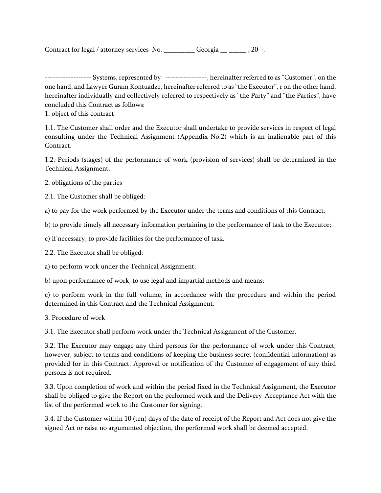Contract for legal / attorney services No. \_\_\_\_\_\_\_\_\_\_ Georgia \_\_ \_\_\_\_\_ , 20--.

------------------ Systems, represented by ----------------, hereinafter referred to as "Customer", on the one hand, and Lawyer Guram Kontuadze, hereinafter referred to as "the Executor", r on the other hand, hereinafter individually and collectively referred to respectively as "the Party" and "the Parties", have concluded this Contract as follows:

1. object of this contract

1.1. The Customer shall order and the Executor shall undertake to provide services in respect of legal consulting under the Technical Assignment (Appendix No.2) which is an inalienable part of this Contract.

1.2. Periods (stages) of the performance of work (provision of services) shall be determined in the Technical Assignment.

2. obligations of the parties

2.1. The Customer shall be obliged:

а) to pay for the work performed by the Executor under the terms and conditions of this Contract;

b) to provide timely all necessary information pertaining to the performance of task to the Executor;

c) if necessary, to provide facilities for the performance of task.

2.2. The Executor shall be obliged:

а) to perform work under the Technical Assignment;

b) upon performance of work, to use legal and impartial methods and means;

c) to perform work in the full volume, in accordance with the procedure and within the period determined in this Contract and the Technical Assignment.

3. Procedure of work

3.1. The Executor shall perform work under the Technical Assignment of the Customer.

3.2. The Executor may engage any third persons for the performance of work under this Contract, however, subject to terms and conditions of keeping the business secret (confidential information) as provided for in this Contract. Approval or notification of the Customer of engagement of any third persons is not required.

3.3. Upon completion of work and within the period fixed in the Technical Assignment, the Executor shall be obliged to give the Report on the performed work and the Delivery-Acceptance Act with the list of the performed work to the Customer for signing.

3.4. If the Customer within 10 (ten) days of the date of receipt of the Report and Act does not give the signed Act or raise no argumented objection, the performed work shall be deemed accepted.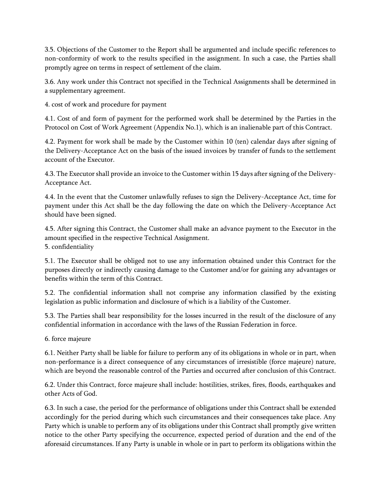3.5. Objections of the Customer to the Report shall be argumented and include specific references to non-conformity of work to the results specified in the assignment. In such a case, the Parties shall promptly agree on terms in respect of settlement of the claim.

3.6. Any work under this Contract not specified in the Technical Assignments shall be determined in a supplementary agreement.

4. cost of work and procedure for payment

4.1. Cost of and form of payment for the performed work shall be determined by the Parties in the Protocol on Cost of Work Agreement (Appendix No.1), which is an inalienable part of this Contract.

4.2. Payment for work shall be made by the Customer within 10 (ten) calendar days after signing of the Delivery-Acceptance Act on the basis of the issued invoices by transfer of funds to the settlement account of the Executor.

4.3. The Executor shall provide an invoice to the Customer within 15 days after signing of the Delivery-Acceptance Act.

4.4. In the event that the Customer unlawfully refuses to sign the Delivery-Acceptance Act, time for payment under this Act shall be the day following the date on which the Delivery-Acceptance Act should have been signed.

4.5. After signing this Contract, the Customer shall make an advance payment to the Executor in the amount specified in the respective Technical Assignment. 5. confidentiality

5.1. The Executor shall be obliged not to use any information obtained under this Contract for the purposes directly or indirectly causing damage to the Customer and/or for gaining any advantages or benefits within the term of this Contract.

5.2. The confidential information shall not comprise any information classified by the existing legislation as public information and disclosure of which is a liability of the Customer.

5.3. The Parties shall bear responsibility for the losses incurred in the result of the disclosure of any confidential information in accordance with the laws of the Russian Federation in force.

6. force majeure

6.1. Neither Party shall be liable for failure to perform any of its obligations in whole or in part, when non-performance is a direct consequence of any circumstances of irresistible (force majeure) nature, which are beyond the reasonable control of the Parties and occurred after conclusion of this Contract.

6.2. Under this Contract, force majeure shall include: hostilities, strikes, fires, floods, earthquakes and other Acts of God.

6.3. In such a case, the period for the performance of obligations under this Contract shall be extended accordingly for the period during which such circumstances and their consequences take place. Any Party which is unable to perform any of its obligations under this Contract shall promptly give written notice to the other Party specifying the occurrence, expected period of duration and the end of the aforesaid circumstances. If any Party is unable in whole or in part to perform its obligations within the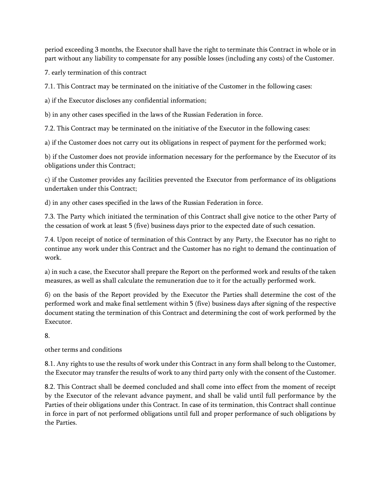period exceeding 3 months, the Executor shall have the right to terminate this Contract in whole or in part without any liability to compensate for any possible losses (including any costs) of the Customer.

7. early termination of this contract

7.1. This Contract may be terminated on the initiative of the Customer in the following cases:

а) if the Executor discloses any confidential information;

b) in any other cases specified in the laws of the Russian Federation in force.

7.2. This Contract may be terminated on the initiative of the Executor in the following cases:

а) if the Customer does not carry out its obligations in respect of payment for the performed work;

b) if the Customer does not provide information necessary for the performance by the Executor of its obligations under this Contract;

c) if the Customer provides any facilities prevented the Executor from performance of its obligations undertaken under this Contract;

d) in any other cases specified in the laws of the Russian Federation in force.

7.3. The Party which initiated the termination of this Contract shall give notice to the other Party of the cessation of work at least 5 (five) business days prior to the expected date of such cessation.

7.4. Upon receipt of notice of termination of this Contract by any Party, the Executor has no right to continue any work under this Contract and the Customer has no right to demand the continuation of work.

а) in such a case, the Executor shall prepare the Report on the performed work and results of the taken measures, as well as shall calculate the remuneration due to it for the actually performed work.

б) on the basis of the Report provided by the Executor the Parties shall determine the cost of the performed work and make final settlement within 5 (five) business days after signing of the respective document stating the termination of this Contract and determining the cost of work performed by the Executor.

8.

other terms and conditions

8.1. Any rights to use the results of work under this Contract in any form shall belong to the Customer, the Executor may transfer the results of work to any third party only with the consent of the Customer.

8.2. This Contract shall be deemed concluded and shall come into effect from the moment of receipt by the Executor of the relevant advance payment, and shall be valid until full performance by the Parties of their obligations under this Contract. In case of its termination, this Contract shall continue in force in part of not performed obligations until full and proper performance of such obligations by the Parties.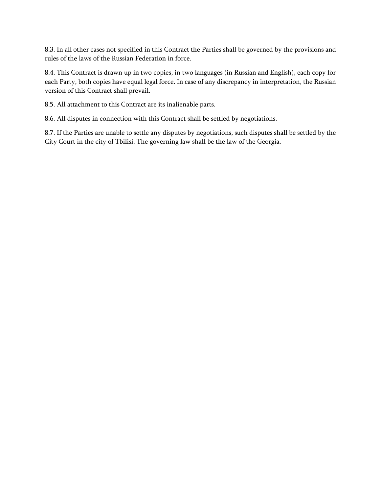8.3. In all other cases not specified in this Contract the Parties shall be governed by the provisions and rules of the laws of the Russian Federation in force.

8.4. This Contract is drawn up in two copies, in two languages (in Russian and English), each copy for each Party, both copies have equal legal force. In case of any discrepancy in interpretation, the Russian version of this Contract shall prevail.

8.5. All attachment to this Contract are its inalienable parts.

8.6. All disputes in connection with this Contract shall be settled by negotiations.

8.7. If the Parties are unable to settle any disputes by negotiations, such disputes shall be settled by the City Court in the city of Tbilisi. The governing law shall be the law of the Georgia.